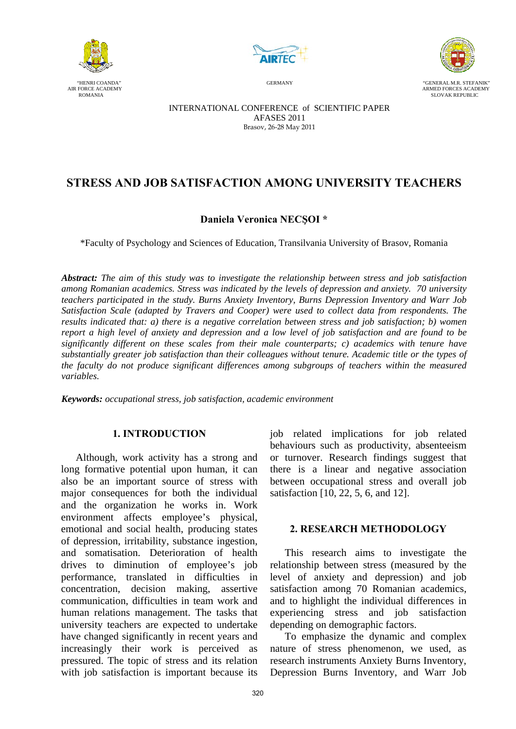





 "HENRI COANDA" GERMANY "GENERAL M.R. STEFANIK"  $\begin{array}{c} \text{FORCE ACADEMY} \\ \text{ROMANIA} \end{array}$ SLOVAK REPUBLIC

> INTERNATIONAL CONFERENCE of SCIENTIFIC PAPER AFASES 2011 Brasov, 26-28 May 2011

# **STRESS AND JOB SATISFACTION AMONG UNIVERSITY TEACHERS**

## **Daniela Veronica NECŞOI \***

\*Faculty of Psychology and Sciences of Education, Transilvania University of Brasov, Romania

*Abstract: The aim of this study was to investigate the relationship between stress and job satisfaction among Romanian academics. Stress was indicated by the levels of depression and anxiety. 70 university teachers participated in the study. Burns Anxiety Inventory, Burns Depression Inventory and Warr Job Satisfaction Scale (adapted by Travers and Cooper) were used to collect data from respondents. The results indicated that: a) there is a negative correlation between stress and job satisfaction; b) women report a high level of anxiety and depression and a low level of job satisfaction and are found to be significantly different on these scales from their male counterparts; c) academics with tenure have substantially greater job satisfaction than their colleagues without tenure. Academic title or the types of the faculty do not produce significant differences among subgroups of teachers within the measured variables.* 

*Keywords: occupational stress, job satisfaction, academic environment*

### **1. INTRODUCTION**

Although, work activity has a strong and long formative potential upon human, it can also be an important source of stress with major consequences for both the individual and the organization he works in. Work environment affects employee's physical, emotional and social health, producing states of depression, irritability, substance ingestion, and somatisation. Deterioration of health drives to diminution of employee's job performance, translated in difficulties in concentration, decision making, assertive communication, difficulties in team work and human relations management. The tasks that university teachers are expected to undertake have changed significantly in recent years and increasingly their work is perceived as pressured. The topic of stress and its relation with job satisfaction is important because its

job related implications for job related behaviours such as productivity, absenteeism or turnover. Research findings suggest that there is a linear and negative association between occupational stress and overall job satisfaction [10, 22, 5, 6, and 12].

## **2. RESEARCH METHODOLOGY**

This research aims to investigate the relationship between stress (measured by the level of anxiety and depression) and job satisfaction among 70 Romanian academics, and to highlight the individual differences in experiencing stress and job satisfaction depending on demographic factors.

To emphasize the dynamic and complex nature of stress phenomenon, we used, as research instruments Anxiety Burns Inventory, Depression Burns Inventory, and Warr Job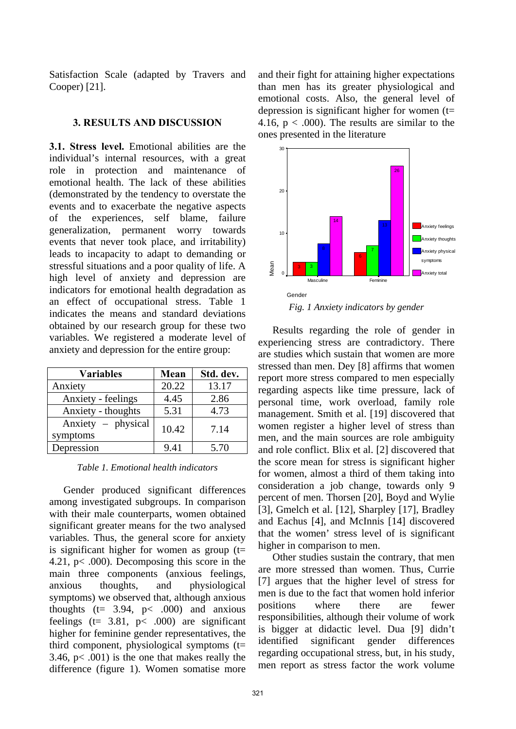Satisfaction Scale (adapted by Travers and Cooper) [21].

### **3. RESULTS AND DISCUSSION**

**3.1. Stress level.** Emotional abilities are the individual's internal resources, with a great role in protection and maintenance of emotional health. The lack of these abilities (demonstrated by the tendency to overstate the events and to exacerbate the negative aspects of the experiences, self blame, failure generalization, permanent worry towards events that never took place, and irritability) leads to incapacity to adapt to demanding or stressful situations and a poor quality of life. A high level of anxiety and depression are indicators for emotional health degradation as an effect of occupational stress. Table 1 indicates the means and standard deviations obtained by our research group for these two variables. We registered a moderate level of anxiety and depression for the entire group:

| <b>Variables</b>               | Mean  | Std. dev. |
|--------------------------------|-------|-----------|
| Anxiety                        | 20.22 | 13.17     |
| Anxiety - feelings             | 4.45  | 2.86      |
| Anxiety - thoughts             | 5.31  | 4.73      |
| Anxiety – physical<br>symptoms | 10.42 | 7.14      |
| Depression                     | 9.41  | 5.70      |

*Table 1. Emotional health indicators* 

Gender produced significant differences among investigated subgroups. In comparison with their male counterparts, women obtained significant greater means for the two analysed variables. Thus, the general score for anxiety is significant higher for women as group  $(t=$ 4.21, p< .000). Decomposing this score in the main three components (anxious feelings, anxious thoughts, and physiological symptoms) we observed that, although anxious thoughts ( $t= 3.94$ ,  $p< .000$ ) and anxious feelings ( $t= 3.81$ ,  $p< .000$ ) are significant higher for feminine gender representatives, the third component, physiological symptoms (t= 3.46, p< .001) is the one that makes really the difference (figure 1). Women somatise more and their fight for attaining higher expectations than men has its greater physiological and emotional costs. Also, the general level of depression is significant higher for women  $(t=$ 4.16,  $p < .000$ ). The results are similar to the ones presented in the literature



Results regarding the role of gender in experiencing stress are contradictory. There are studies which sustain that women are more stressed than men. Dey [8] affirms that women report more stress compared to men especially regarding aspects like time pressure, lack of personal time, work overload, family role management. Smith et al. [19] discovered that women register a higher level of stress than men, and the main sources are role ambiguity and role conflict. Blix et al. [2] discovered that the score mean for stress is significant higher for women, almost a third of them taking into consideration a job change, towards only 9 percent of men. Thorsen [20], Boyd and Wylie [3], Gmelch et al. [12], Sharpley [17], Bradley and Eachus [4], and McInnis [14] discovered that the women' stress level of is significant higher in comparison to men.

Other studies sustain the contrary, that men are more stressed than women. Thus, Currie [7] argues that the higher level of stress for men is due to the fact that women hold inferior positions where there are fewer responsibilities, although their volume of work is bigger at didactic level. Dua [9] didn't identified significant gender differences regarding occupational stress, but, in his study, men report as stress factor the work volume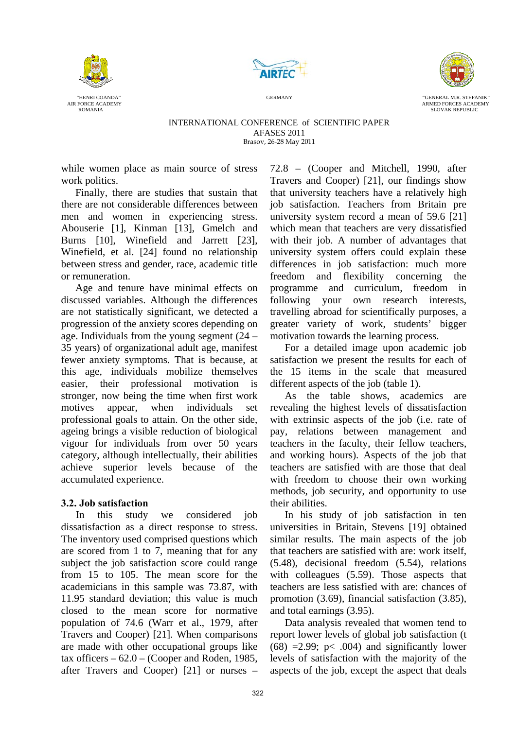





AIR FORCE ACADEMY AND FORCES ACADEMY ARM THE SERVER AND THE SERVER ARM THE SERVER ARM THE SERVER AT A THE SERVER ACADEMY ARMED FORCES ACADEMY ARMED FORCES ACADEMY ARM THE SERVER AT A SUMMED FORCES ACADEMY AND SUMMED FORCES RED FORCES ACAD

#### INTERNATIONAL CONFERENCE of SCIENTIFIC PAPER AFASES 2011 Brasov, 26-28 May 2011

while women place as main source of stress work politics.

Finally, there are studies that sustain that there are not considerable differences between men and women in experiencing stress. Abouserie [1], Kinman [13], Gmelch and Burns [10], Winefield and Jarrett [23], Winefield, et al. [24] found no relationship between stress and gender, race, academic title or remuneration.

Age and tenure have minimal effects on discussed variables. Although the differences are not statistically significant, we detected a progression of the anxiety scores depending on age. Individuals from the young segment (24 – 35 years) of organizational adult age, manifest fewer anxiety symptoms. That is because, at this age, individuals mobilize themselves easier, their professional motivation is stronger, now being the time when first work motives appear, when individuals set professional goals to attain. On the other side, ageing brings a visible reduction of biological vigour for individuals from over 50 years category, although intellectually, their abilities achieve superior levels because of the accumulated experience.

## **3.2. Job satisfaction**

In this study we considered job dissatisfaction as a direct response to stress. The inventory used comprised questions which are scored from 1 to 7, meaning that for any subject the job satisfaction score could range from 15 to 105. The mean score for the academicians in this sample was 73.87, with 11.95 standard deviation; this value is much closed to the mean score for normative population of 74.6 (Warr et al., 1979, after Travers and Cooper) [21]. When comparisons are made with other occupational groups like tax officers  $-62.0$  – (Cooper and Roden, 1985, after Travers and Cooper) [21] or nurses –

72.8 – (Cooper and Mitchell, 1990, after Travers and Cooper) [21], our findings show that university teachers have a relatively high job satisfaction. Teachers from Britain pre university system record a mean of 59.6 [21] which mean that teachers are very dissatisfied with their job. A number of advantages that university system offers could explain these differences in job satisfaction: much more freedom and flexibility concerning the programme and curriculum, freedom in following your own research interests, travelling abroad for scientifically purposes, a greater variety of work, students' bigger motivation towards the learning process.

For a detailed image upon academic job satisfaction we present the results for each of the 15 items in the scale that measured different aspects of the job (table 1).

As the table shows, academics are revealing the highest levels of dissatisfaction with extrinsic aspects of the job (i.e. rate of pay, relations between management and teachers in the faculty, their fellow teachers, and working hours). Aspects of the job that teachers are satisfied with are those that deal with freedom to choose their own working methods, job security, and opportunity to use their abilities.

In his study of job satisfaction in ten universities in Britain, Stevens [19] obtained similar results. The main aspects of the job that teachers are satisfied with are: work itself, (5.48), decisional freedom (5.54), relations with colleagues (5.59). Those aspects that teachers are less satisfied with are: chances of promotion (3.69), financial satisfaction (3.85), and total earnings (3.95).

Data analysis revealed that women tend to report lower levels of global job satisfaction (t  $(68)$  =2.99; p< .004) and significantly lower levels of satisfaction with the majority of the aspects of the job, except the aspect that deals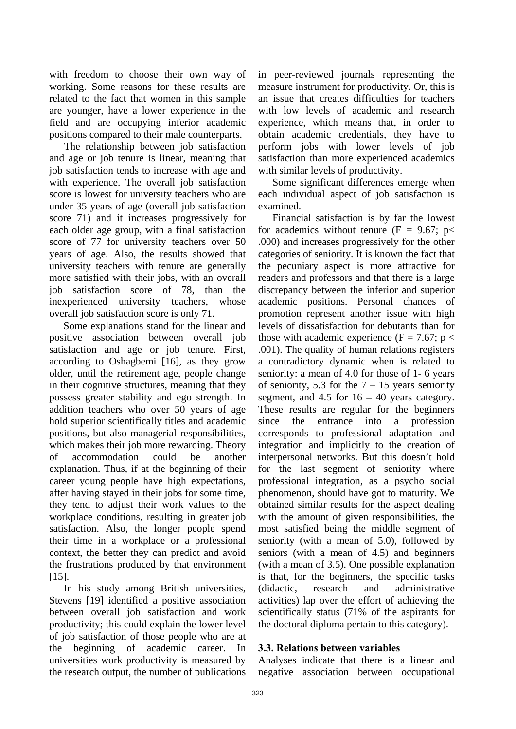with freedom to choose their own way of working. Some reasons for these results are related to the fact that women in this sample are younger, have a lower experience in the field and are occupying inferior academic positions compared to their male counterparts.

The relationship between job satisfaction and age or job tenure is linear, meaning that job satisfaction tends to increase with age and with experience. The overall job satisfaction score is lowest for university teachers who are under 35 years of age (overall job satisfaction score 71) and it increases progressively for each older age group, with a final satisfaction score of 77 for university teachers over 50 years of age. Also, the results showed that university teachers with tenure are generally more satisfied with their jobs, with an overall job satisfaction score of 78, than the inexperienced university teachers, whose overall job satisfaction score is only 71.

 Some explanations stand for the linear and positive association between overall job satisfaction and age or job tenure. First, according to Oshagbemi [16], as they grow older, until the retirement age, people change in their cognitive structures, meaning that they possess greater stability and ego strength. In addition teachers who over 50 years of age hold superior scientifically titles and academic positions, but also managerial responsibilities, which makes their job more rewarding. Theory of accommodation could be another explanation. Thus, if at the beginning of their career young people have high expectations, after having stayed in their jobs for some time, they tend to adjust their work values to the workplace conditions, resulting in greater job satisfaction. Also, the longer people spend their time in a workplace or a professional context, the better they can predict and avoid the frustrations produced by that environment [15].

In his study among British universities, Stevens [19] identified a positive association between overall job satisfaction and work productivity; this could explain the lower level of job satisfaction of those people who are at the beginning of academic career. In universities work productivity is measured by the research output, the number of publications in peer-reviewed journals representing the measure instrument for productivity. Or, this is an issue that creates difficulties for teachers with low levels of academic and research experience, which means that, in order to obtain academic credentials, they have to perform jobs with lower levels of job satisfaction than more experienced academics with similar levels of productivity.

Some significant differences emerge when each individual aspect of job satisfaction is examined.

Financial satisfaction is by far the lowest for academics without tenure ( $F = 9.67$ ; p< .000) and increases progressively for the other categories of seniority. It is known the fact that the pecuniary aspect is more attractive for readers and professors and that there is a large discrepancy between the inferior and superior academic positions. Personal chances of promotion represent another issue with high levels of dissatisfaction for debutants than for those with academic experience (F = 7.67; p < .001). The quality of human relations registers a contradictory dynamic when is related to seniority: a mean of 4.0 for those of 1- 6 years of seniority, 5.3 for the  $7 - 15$  years seniority segment, and  $4.5$  for  $16 - 40$  years category. These results are regular for the beginners since the entrance into a profession corresponds to professional adaptation and integration and implicitly to the creation of interpersonal networks. But this doesn't hold for the last segment of seniority where professional integration, as a psycho social phenomenon, should have got to maturity. We obtained similar results for the aspect dealing with the amount of given responsibilities, the most satisfied being the middle segment of seniority (with a mean of 5.0), followed by seniors (with a mean of 4.5) and beginners (with a mean of 3.5). One possible explanation is that, for the beginners, the specific tasks (didactic, research and administrative activities) lap over the effort of achieving the scientifically status (71% of the aspirants for the doctoral diploma pertain to this category).

### **3.3. Relations between variables**

Analyses indicate that there is a linear and negative association between occupational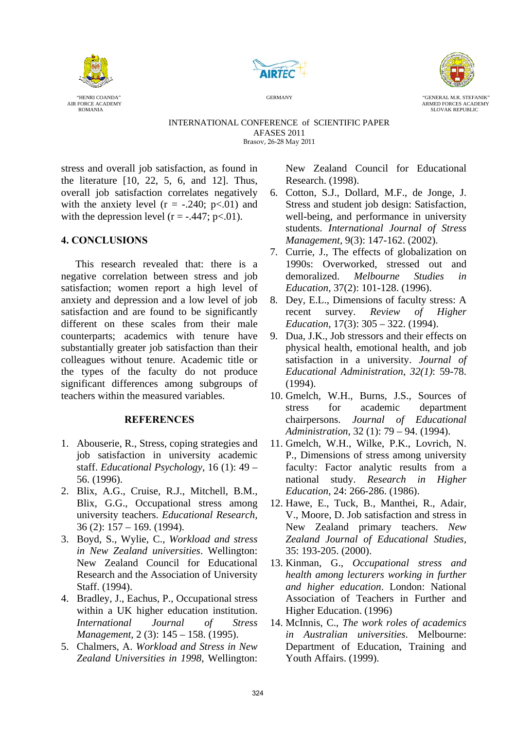





AIR FORCE ACADEMY ARMED FORCES ACADEMY ROMANIA SLOVAK REPUBLIC

INTERNATIONAL CONFERENCE of SCIENTIFIC PAPER AFASES 2011 Brasov, 26-28 May 2011

stress and overall job satisfaction, as found in the literature [10, 22, 5, 6, and 12]. Thus, overall job satisfaction correlates negatively with the anxiety level  $(r = -.240; p < .01)$  and with the depression level  $(r = -.447; p < .01)$ .

## **4. CONCLUSIONS**

This research revealed that: there is a negative correlation between stress and job satisfaction; women report a high level of anxiety and depression and a low level of job satisfaction and are found to be significantly different on these scales from their male counterparts; academics with tenure have substantially greater job satisfaction than their colleagues without tenure. Academic title or the types of the faculty do not produce significant differences among subgroups of teachers within the measured variables.

## **REFERENCES**

- 1. Abouserie, R., Stress, coping strategies and job satisfaction in university academic staff. *Educational Psychology*, 16 (1): 49 – 56. (1996).
- 2. Blix, A.G., Cruise, R.J., Mitchell, B.M., Blix, G.G., Occupational stress among university teachers. *Educational Research,*  36 (2): 157 – 169. (1994).
- 3. Boyd, S., Wylie, C., *Workload and stress in New Zealand universities*. Wellington: New Zealand Council for Educational Research and the Association of University Staff. (1994).
- 4. Bradley, J., Eachus, P., Occupational stress within a UK higher education institution. *International Journal of Stress Management,* 2 (3): 145 – 158. (1995).
- 5. Chalmers, A. *Workload and Stress in New Zealand Universities in 1998*, Wellington:

New Zealand Council for Educational Research. (1998).

- 6. Cotton, S.J., Dollard, M.F., de Jonge, J. Stress and student job design: Satisfaction, well-being, and performance in university students. *International Journal of Stress Management,* 9(3): 147-162. (2002).
- 7. Currie, J., The effects of globalization on 1990s: Overworked, stressed out and demoralized. *Melbourne Studies in Education,* 37(2): 101-128. (1996).
- 8. Dey, E.L., Dimensions of faculty stress: A recent survey. *Review of Higher Education*, 17(3): 305 – 322. (1994).
- 9. Dua, J.K., Job stressors and their effects on physical health, emotional health, and job satisfaction in a university. *Journal of Educational Administration*, *32(1)*: 59-78. (1994).
- 10. Gmelch, W.H., Burns, J.S., Sources of stress for academic department chairpersons. *Journal of Educational Administration*, 32 (1): 79 – 94. (1994).
- 11. Gmelch, W.H., Wilke, P.K., Lovrich, N. P., Dimensions of stress among university faculty: Factor analytic results from a national study. *Research in Higher Education*, 24: 266-286. (1986).
- 12. Hawe, E., Tuck, B., Manthei, R., Adair, V., Moore, D. Job satisfaction and stress in New Zealand primary teachers. *New Zealand Journal of Educational Studies,*  35: 193-205. (2000).
- 13. Kinman, G., *Occupational stress and health among lecturers working in further and higher education*. London: National Association of Teachers in Further and Higher Education. (1996)
- 14. McInnis, C., *The work roles of academics in Australian universities*. Melbourne: Department of Education, Training and Youth Affairs. (1999).